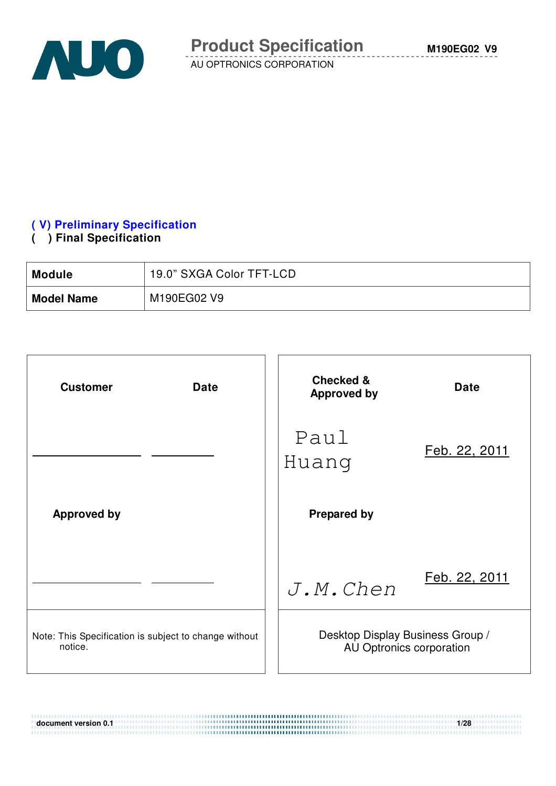

### **( V) Preliminary Specification**

#### **( ) Final Specification**

| <b>Module</b>     | 19.0" SXGA Color TFT-LCD |
|-------------------|--------------------------|
| <b>Model Name</b> | M190EG02 V9              |

| <b>Customer</b><br><b>Date</b>                                   | <b>Checked &amp;</b><br><b>Approved by</b>                   | <b>Date</b>   |
|------------------------------------------------------------------|--------------------------------------------------------------|---------------|
|                                                                  | Paul<br>Huang                                                | Feb. 22, 2011 |
| <b>Approved by</b>                                               | <b>Prepared by</b>                                           |               |
|                                                                  | $J.M.$ <i>Chen</i>                                           | Feb. 22, 2011 |
| Note: This Specification is subject to change without<br>notice. | Desktop Display Business Group /<br>AU Optronics corporation |               |

**document version 0.1 1/28 1/28**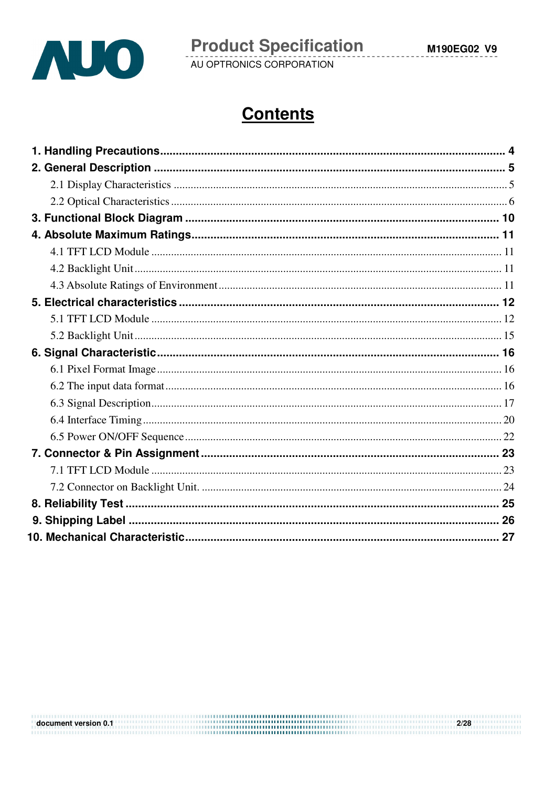

# **Contents**

 $2/28$ document version 0.1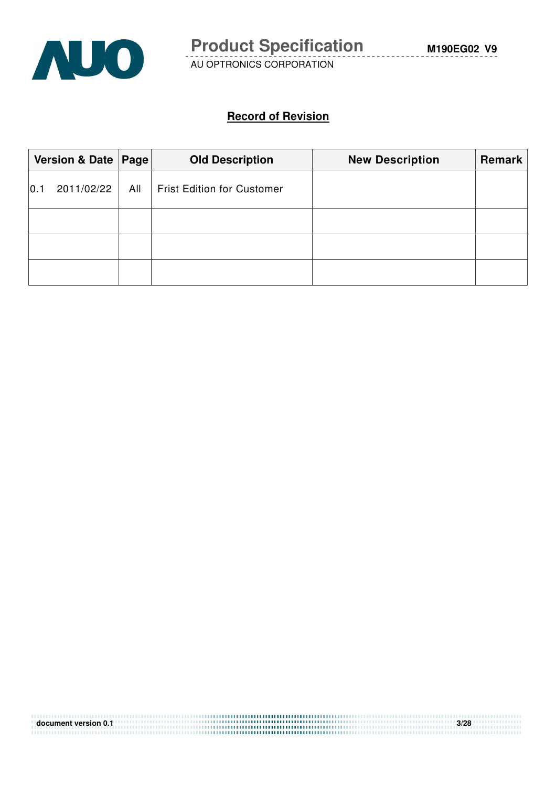

#### **Record of Revision**

|     | Version & Date   Page |     | <b>Old Description</b>            | <b>New Description</b> | <b>Remark</b> |
|-----|-----------------------|-----|-----------------------------------|------------------------|---------------|
| 0.1 | 2011/02/22            | All | <b>Frist Edition for Customer</b> |                        |               |
|     |                       |     |                                   |                        |               |
|     |                       |     |                                   |                        |               |
|     |                       |     |                                   |                        |               |

| document version 0.1 | 3/28 |
|----------------------|------|
|                      |      |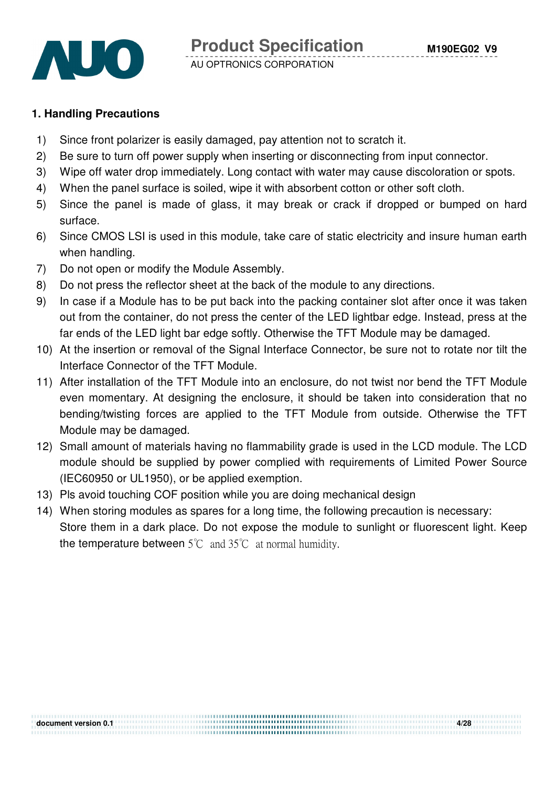

#### **1. Handling Precautions**

- 1) Since front polarizer is easily damaged, pay attention not to scratch it.
- 2) Be sure to turn off power supply when inserting or disconnecting from input connector.
- 3) Wipe off water drop immediately. Long contact with water may cause discoloration or spots.
- 4) When the panel surface is soiled, wipe it with absorbent cotton or other soft cloth.
- 5) Since the panel is made of glass, it may break or crack if dropped or bumped on hard surface.
- 6) Since CMOS LSI is used in this module, take care of static electricity and insure human earth when handling.
- 7) Do not open or modify the Module Assembly.
- 8) Do not press the reflector sheet at the back of the module to any directions.
- 9) In case if a Module has to be put back into the packing container slot after once it was taken out from the container, do not press the center of the LED lightbar edge. Instead, press at the far ends of the LED light bar edge softly. Otherwise the TFT Module may be damaged.
- 10) At the insertion or removal of the Signal Interface Connector, be sure not to rotate nor tilt the Interface Connector of the TFT Module.
- 11) After installation of the TFT Module into an enclosure, do not twist nor bend the TFT Module even momentary. At designing the enclosure, it should be taken into consideration that no bending/twisting forces are applied to the TFT Module from outside. Otherwise the TFT Module may be damaged.
- 12) Small amount of materials having no flammability grade is used in the LCD module. The LCD module should be supplied by power complied with requirements of Limited Power Source (IEC60950 or UL1950), or be applied exemption.
- 13) Pls avoid touching COF position while you are doing mechanical design
- 14) When storing modules as spares for a long time, the following precaution is necessary: Store them in a dark place. Do not expose the module to sunlight or fluorescent light. Keep the temperature between  $5^{\circ}$ C and  $35^{\circ}$ C at normal humidity.

**document version 0.1 4/28**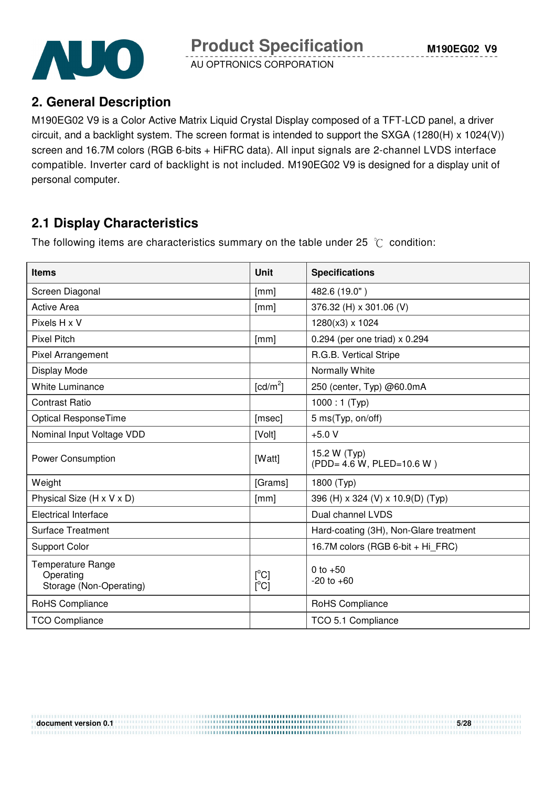

## **2. General Description**

M190EG02 V9 is a Color Active Matrix Liquid Crystal Display composed of a TFT-LCD panel, a driver circuit, and a backlight system. The screen format is intended to support the SXGA (1280(H) x 1024(V)) screen and 16.7M colors (RGB 6-bits + HiFRC data). All input signals are 2-channel LVDS interface compatible. Inverter card of backlight is not included. M190EG02 V9 is designed for a display unit of personal computer.

# **2.1 Display Characteristics**

The following items are characteristics summary on the table under 25  $\degree$ C condition:

| <b>Items</b>                                                     | <b>Unit</b>          | <b>Specifications</b>                     |
|------------------------------------------------------------------|----------------------|-------------------------------------------|
| Screen Diagonal                                                  | [mm]                 | 482.6 (19.0")                             |
| <b>Active Area</b>                                               | [mm]                 | 376.32 (H) x 301.06 (V)                   |
| Pixels H x V                                                     |                      | 1280(x3) x 1024                           |
| <b>Pixel Pitch</b>                                               | [mm]                 | 0.294 (per one triad) x 0.294             |
| Pixel Arrangement                                                |                      | R.G.B. Vertical Stripe                    |
| Display Mode                                                     |                      | Normally White                            |
| <b>White Luminance</b>                                           | [cd/m <sup>2</sup> ] | 250 (center, Typ) @60.0mA                 |
| <b>Contrast Ratio</b>                                            |                      | $1000:1$ (Typ)                            |
| Optical ResponseTime                                             | [msec]               | 5 ms(Typ, on/off)                         |
| Nominal Input Voltage VDD                                        | [Volt]               | $+5.0V$                                   |
| <b>Power Consumption</b>                                         | [Watt]               | 15.2 W (Typ)<br>(PDD= 4.6 W, PLED=10.6 W) |
| Weight                                                           | [Grams]              | 1800 (Typ)                                |
| Physical Size (H x V x D)                                        | [mm]                 | 396 (H) x 324 (V) x 10.9(D) (Typ)         |
| <b>Electrical Interface</b>                                      |                      | Dual channel LVDS                         |
| <b>Surface Treatment</b>                                         |                      | Hard-coating (3H), Non-Glare treatment    |
| <b>Support Color</b>                                             |                      | 16.7M colors (RGB 6-bit + Hi_FRC)         |
| <b>Temperature Range</b><br>Operating<br>Storage (Non-Operating) | $[^{\circ}C]$<br>[C] | 0 to $+50$<br>$-20$ to $+60$              |
| RoHS Compliance                                                  |                      | RoHS Compliance                           |
| <b>TCO Compliance</b>                                            |                      | TCO 5.1 Compliance                        |

**document version 0.1** 5/28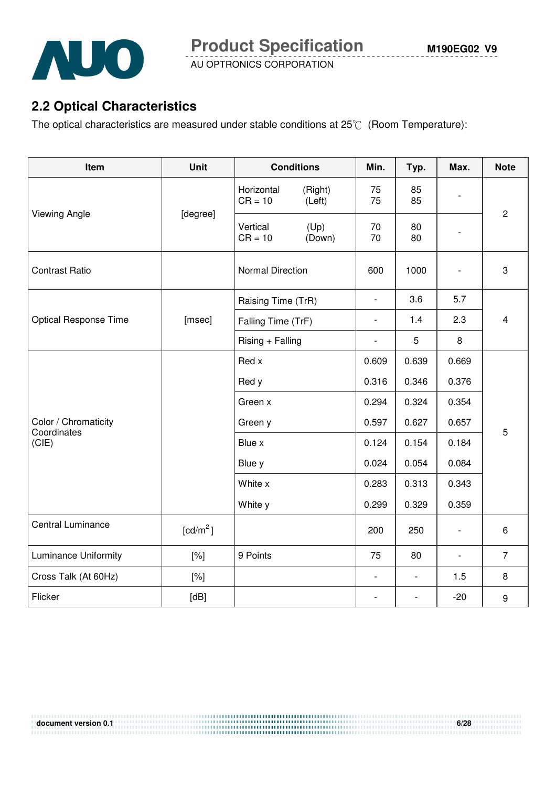

# **2.2 Optical Characteristics**

The optical characteristics are measured under stable conditions at  $25^{\circ}$  (Room Temperature):

| Item                                | <b>Unit</b>          | <b>Conditions</b>                            | Min.                     | Typ.           | Max.                     | <b>Note</b>    |
|-------------------------------------|----------------------|----------------------------------------------|--------------------------|----------------|--------------------------|----------------|
|                                     |                      | Horizontal<br>(Right)<br>$CR = 10$<br>(Left) | 75<br>75                 | 85<br>85       |                          |                |
| <b>Viewing Angle</b>                | [degree]             | (Up)<br>Vertical<br>$CR = 10$<br>(Down)      | 70<br>70                 | 80<br>80       |                          | $\overline{c}$ |
| <b>Contrast Ratio</b>               |                      | <b>Normal Direction</b>                      | 600                      | 1000           |                          | 3              |
|                                     |                      | Raising Time (TrR)                           | $\overline{\phantom{a}}$ | 3.6            | 5.7                      |                |
| <b>Optical Response Time</b>        | [msec]               | Falling Time (TrF)                           | $\overline{\phantom{0}}$ | 1.4            | 2.3                      | $\overline{4}$ |
|                                     |                      | Rising + Falling                             | $\overline{\phantom{a}}$ | 5              | 8                        |                |
|                                     |                      | Red x                                        | 0.609                    | 0.639          | 0.669                    |                |
|                                     |                      | Red y                                        | 0.316                    | 0.346          | 0.376                    |                |
|                                     |                      | Green x                                      | 0.294                    | 0.324          | 0.354                    |                |
| Color / Chromaticity<br>Coordinates |                      | Green y                                      |                          | 0.627          | 0.657                    | 5              |
| (CIE)                               |                      | Blue x                                       | 0.124                    | 0.154          | 0.184                    |                |
|                                     |                      | Blue y                                       | 0.024                    | 0.054          | 0.084                    |                |
|                                     |                      | White x                                      | 0.283                    | 0.313          | 0.343                    |                |
|                                     |                      | White y                                      | 0.299                    | 0.329          | 0.359                    |                |
| Central Luminance                   | [cd/m <sup>2</sup> ] |                                              | 200                      | 250            | $\overline{\phantom{a}}$ | 6              |
| <b>Luminance Uniformity</b>         | $[\%]$               | 9 Points                                     | 75                       | 80             | $\overline{\phantom{a}}$ | $\overline{7}$ |
| Cross Talk (At 60Hz)                | [%]                  |                                              | $\overline{\phantom{a}}$ | $\blacksquare$ | 1.5                      | 8              |
| Flicker                             | [dB]                 |                                              |                          |                | $-20$                    | 9              |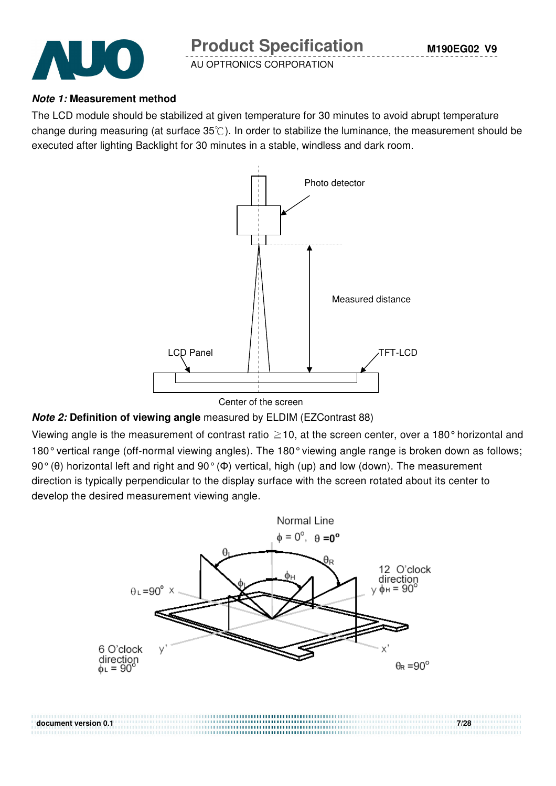

#### **Note 1: Measurement method**

The LCD module should be stabilized at given temperature for 30 minutes to avoid abrupt temperature change during measuring (at surface  $35^{\circ}$ ). In order to stabilize the luminance, the measurement should be executed after lighting Backlight for 30 minutes in a stable, windless and dark room.



#### **Note 2: Definition of viewing angle** measured by ELDIM (EZContrast 88)

Viewing angle is the measurement of contrast ratio  $\geq$  10, at the screen center, over a 180° horizontal and 180° vertical range (off-normal viewing angles). The 180° viewing angle range is broken down as follows; 90° (θ) horizontal left and right and 90° (Φ) vertical, high (up) and low (down). The measurement direction is typically perpendicular to the display surface with the screen rotated about its center to develop the desired measurement viewing angle.

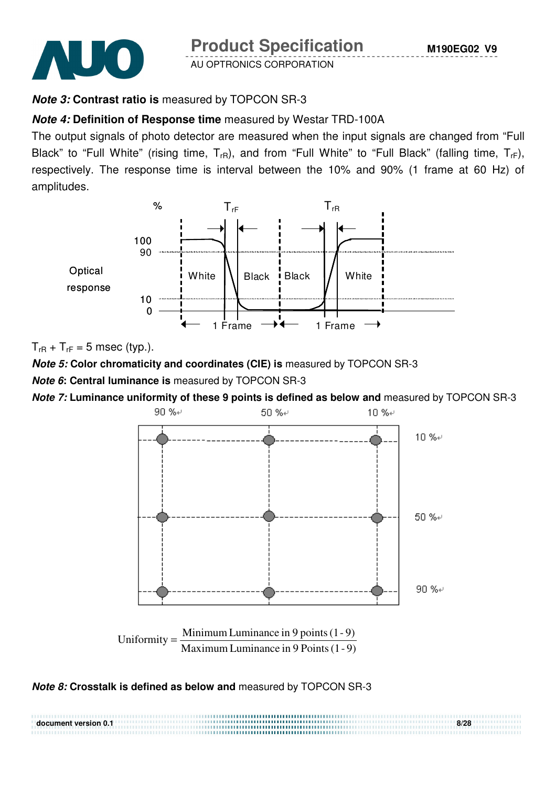



### **Note 3: Contrast ratio is** measured by TOPCON SR-3

#### **Note 4: Definition of Response time** measured by Westar TRD-100A

The output signals of photo detector are measured when the input signals are changed from "Full Black" to "Full White" (rising time,  $T_{rR}$ ), and from "Full White" to "Full Black" (falling time,  $T_{rF}$ ), respectively. The response time is interval between the 10% and 90% (1 frame at 60 Hz) of amplitudes.



 $T_{rR}$  +  $T_{rF}$  = 5 msec (typ.).

**Note 5: Color chromaticity and coordinates (CIE) is** measured by TOPCON SR-3

**Note 6: Central luminance is** measured by TOPCON SR-3

**Note 7: Luminance uniformity of these 9 points is defined as below and** measured by TOPCON SR-3



#### **Note 8: Crosstalk is defined as below and** measured by TOPCON SR-3

| document version 0.1 | 8/28 |
|----------------------|------|
|                      |      |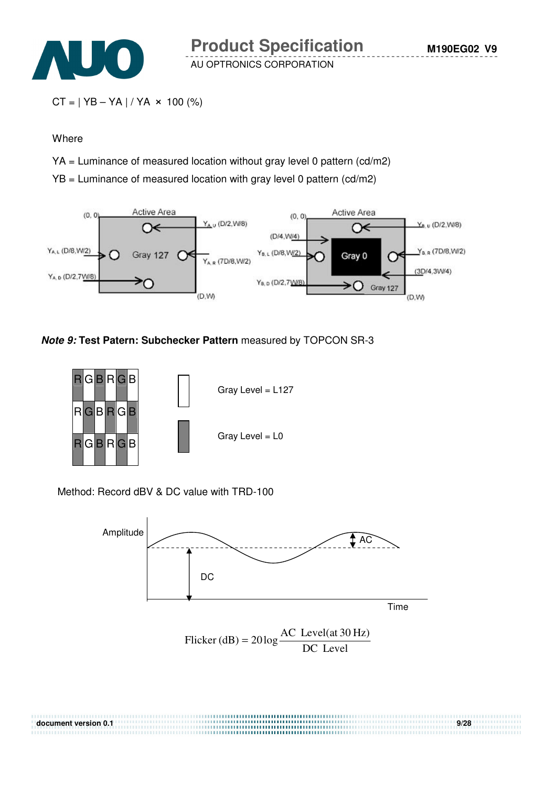

```
CT = | YB - YA | / YA \times 100 (%)
```
#### Where

- YA = Luminance of measured location without gray level 0 pattern (cd/m2)
- YB = Luminance of measured location with gray level 0 pattern (cd/m2)



#### **Note 9: Test Patern: Subchecker Pattern** measured by TOPCON SR-3



Method: Record dBV & DC value with TRD-100



**document version 0.1 9/28**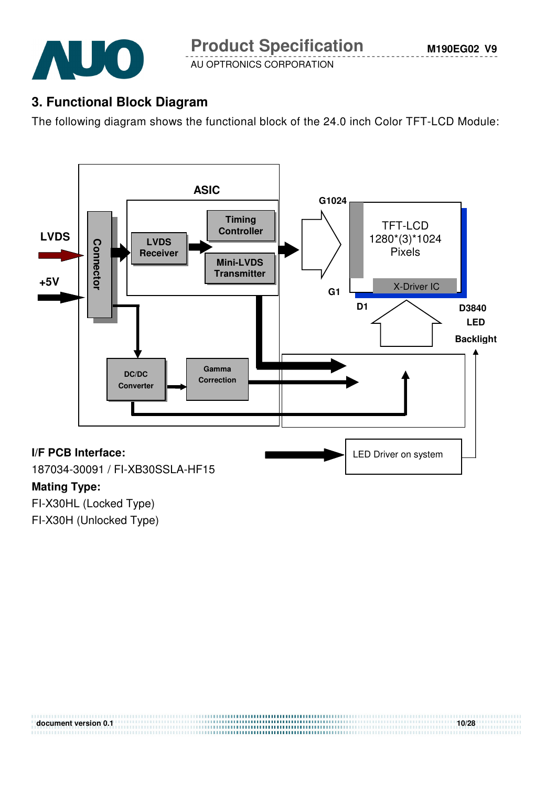

# **3. Functional Block Diagram**

The following diagram shows the functional block of the 24.0 inch Color TFT-LCD Module:



**document version 0.1** 10/28 *document version 0.1* 

FI-X30HL (Locked Type) FI-X30H (Unlocked Type)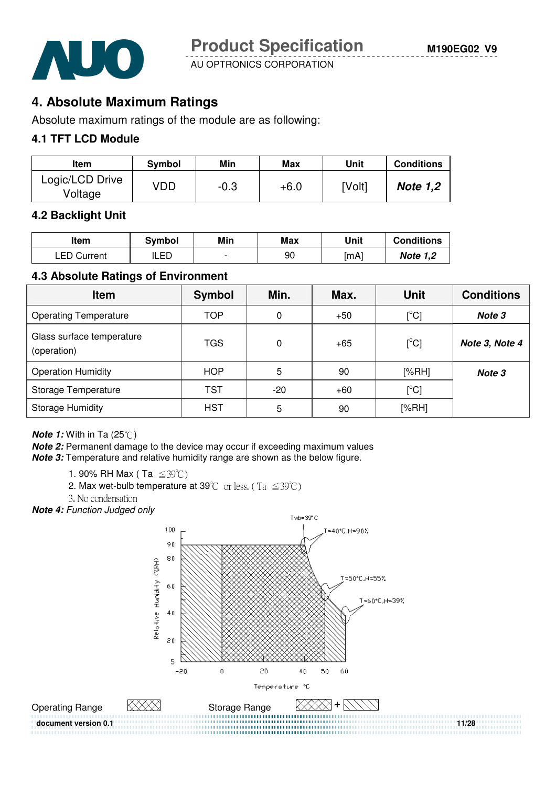



# **4. Absolute Maximum Ratings**

Absolute maximum ratings of the module are as following:

#### **4.1 TFT LCD Module**

| <b>Item</b>                | Symbol | Min    | Max    | Unit   | <b>Conditions</b> |
|----------------------------|--------|--------|--------|--------|-------------------|
| Logic/LCD Drive<br>Voltage | VDD    | $-0.3$ | $+6.0$ | [Volt] | <b>Note 1,2</b>   |

#### **4.2 Backlight Unit**

| ltem               | Svmbol | Min                      | Max | Unit | <b>Conditions</b> |
|--------------------|--------|--------------------------|-----|------|-------------------|
| <b>LED Current</b> | LED    | $\overline{\phantom{0}}$ | 90  | [mA] | <b>Note 1,2</b>   |

#### **4.3 Absolute Ratings of Environment**

| <b>Item</b>                              | Symbol     | Min.  | Max.  | Unit          | <b>Conditions</b> |
|------------------------------------------|------------|-------|-------|---------------|-------------------|
| <b>Operating Temperature</b>             | <b>TOP</b> | 0     | $+50$ | $[^{\circ}C]$ | Note 3            |
| Glass surface temperature<br>(operation) | TGS        | 0     | $+65$ | $[^{\circ}C]$ | Note 3, Note 4    |
| <b>Operation Humidity</b>                | HOP        | 5     | 90    | [%RH]         | Note 3            |
| Storage Temperature                      | <b>TST</b> | $-20$ | $+60$ | [°C]          |                   |
| <b>Storage Humidity</b>                  | HST        | 5     | 90    | [%RH]         |                   |

**Note 1:** With in Ta (25°C)

**Note 2:** Permanent damage to the device may occur if exceeding maximum values **Note 3:** Temperature and relative humidity range are shown as the below figure.

1. 90% RH Max (Ta  $\leq 39^{\circ}$ C)

- 2. Max wet-bulb temperature at 39°C or less. (Ta  $\leq 39^{\circ}$ C)
- 3. No condensation

**Note 4:** Function Judged only

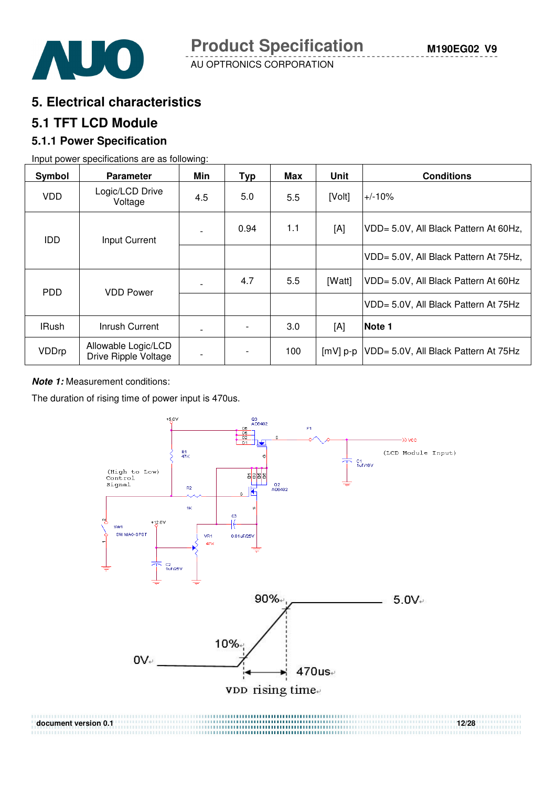

**5. Electrical characteristics** 

#### **5.1 TFT LCD Module**

#### **5.1.1 Power Specification**

Input power specifications are as following:

| Symbol       | <b>Parameter</b>                            | Min | <b>Typ</b>               | <b>Max</b> | Unit       | <b>Conditions</b>                     |
|--------------|---------------------------------------------|-----|--------------------------|------------|------------|---------------------------------------|
| <b>VDD</b>   | Logic/LCD Drive<br>Voltage                  | 4.5 | 5.0                      | 5.5        | [Volt]     | $+/-10%$                              |
| <b>IDD</b>   | Input Current                               |     | 0.94                     | 1.1        | [A]        | VDD= 5.0V, All Black Pattern At 60Hz, |
|              |                                             |     |                          |            |            | VDD= 5.0V, All Black Pattern At 75Hz, |
| <b>PDD</b>   | <b>VDD Power</b>                            |     | 4.7                      | 5.5        | [Watt]     | VDD= 5.0V, All Black Pattern At 60Hz  |
|              |                                             |     |                          |            |            | VDD= 5.0V, All Black Pattern At 75Hz  |
| <b>IRush</b> | Inrush Current                              |     |                          | 3.0        | [A]        | Note 1                                |
| VDDrp        | Allowable Logic/LCD<br>Drive Ripple Voltage |     | $\overline{\phantom{a}}$ | 100        | $[mV]$ p-p | VDD= 5.0V, All Black Pattern At 75Hz  |

**Note 1:** Measurement conditions:

The duration of rising time of power input is 470us.

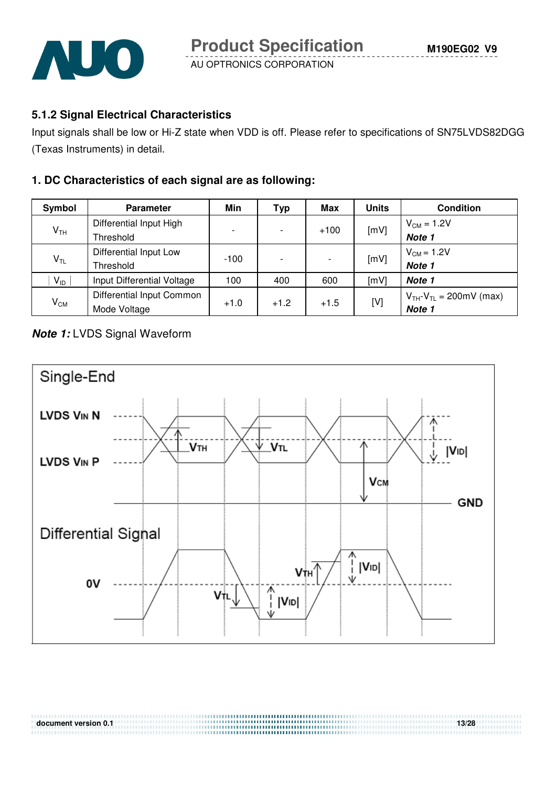

#### **5.1.2 Signal Electrical Characteristics**

Input signals shall be low or Hi-Z state when VDD is off. Please refer to specifications of SN75LVDS82DGG (Texas Instruments) in detail.

#### **1. DC Characteristics of each signal are as following:**

| Symbol          | <b>Parameter</b>           | Min    | <b>Typ</b>               | Max    | <b>Units</b> | <b>Condition</b>                 |
|-----------------|----------------------------|--------|--------------------------|--------|--------------|----------------------------------|
| V <sub>TH</sub> | Differential Input High    |        | $\overline{\phantom{a}}$ | $+100$ | [mV]         | $V_{CM} = 1.2V$                  |
|                 | Threshold                  |        |                          |        |              | Note 1                           |
| $V_{TL}$        | Differential Input Low     | $-100$ | $\overline{\phantom{a}}$ |        | [mV]         | $V_{CM}$ = 1.2V                  |
|                 | Threshold                  |        |                          |        |              | Note 1                           |
| $V_{ID}$        | Input Differential Voltage | 100    | 400                      | 600    | [mV]         | Note 1                           |
| $V_{CM}$        | Differential Input Common  |        | $+1.2$                   | $+1.5$ | [V]          | $V_{TH} - V_{TL} = 200$ mV (max) |
|                 | Mode Voltage               | $+1.0$ |                          |        |              | Note 1                           |

#### **Note 1:** LVDS Signal Waveform



**document version 0.1** 13/28

,,,,,,,,,,,,,,,,,,,,,,,,,,,,,,,,,,,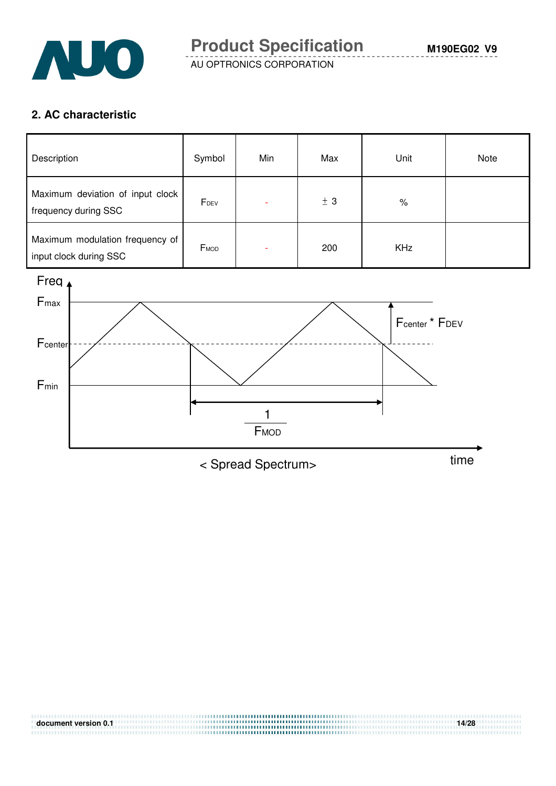

#### **2. AC characteristic**

| Description                                               | Symbol | Min | Max | Unit       | Note |
|-----------------------------------------------------------|--------|-----|-----|------------|------|
| Maximum deviation of input clock<br>frequency during SSC  | FDEV   |     | ± 3 | $\%$       |      |
| Maximum modulation frequency of<br>input clock during SSC | FMOD   | ۰   | 200 | <b>KHz</b> |      |



**document version 0.1 14/28** 

< Spread Spectrum> time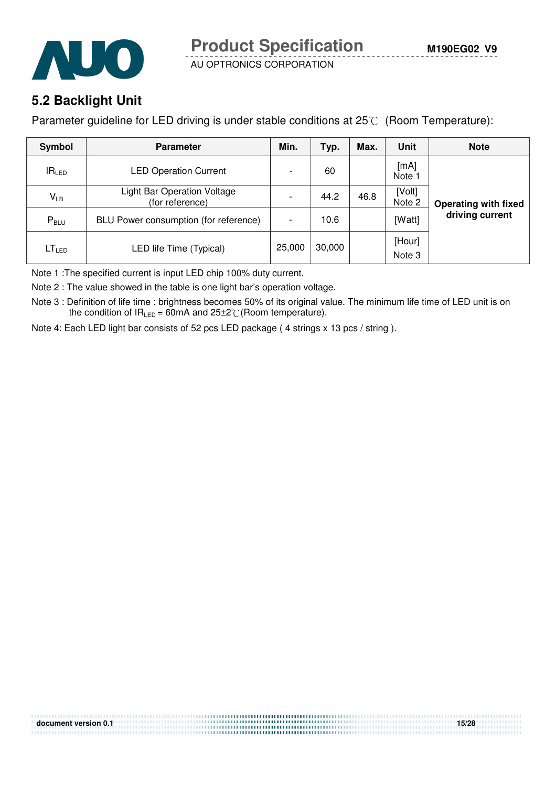



# **5.2 Backlight Unit**

Parameter guideline for LED driving is under stable conditions at 25°C (Room Temperature):

| Symbol            | <b>Parameter</b>                                      | Min.                     | Typ.   | Max. | <b>Unit</b>      | <b>Note</b>                 |
|-------------------|-------------------------------------------------------|--------------------------|--------|------|------------------|-----------------------------|
| IR <sub>LED</sub> | <b>LED Operation Current</b>                          | $\overline{\phantom{0}}$ | 60     |      | [mA]<br>Note :   |                             |
| $V_{LB}$          | <b>Light Bar Operation Voltage</b><br>(for reference) | $\overline{\phantom{0}}$ | 44.2   | 46.8 | [Volt]<br>Note 2 | <b>Operating with fixed</b> |
| $P_{\text{BLU}}$  | BLU Power consumption (for reference)                 | $\overline{\phantom{a}}$ | 10.6   |      | [Watt]           | driving current             |
| LT <sub>LED</sub> | LED life Time (Typical)                               | 25,000                   | 30,000 |      | [Hour]<br>Note 3 |                             |

Note 1 :The specified current is input LED chip 100% duty current.

Note 2 : The value showed in the table is one light bar's operation voltage.

Note 3 : Definition of life time : brightness becomes 50% of its original value. The minimum life time of LED unit is on the condition of  $IR_{LED} = 60mA$  and  $25\pm2^{\circ}C$  (Room temperature).

**document version 0.1** 15/28

Note 4: Each LED light bar consists of 52 pcs LED package ( 4 strings x 13 pcs / string ).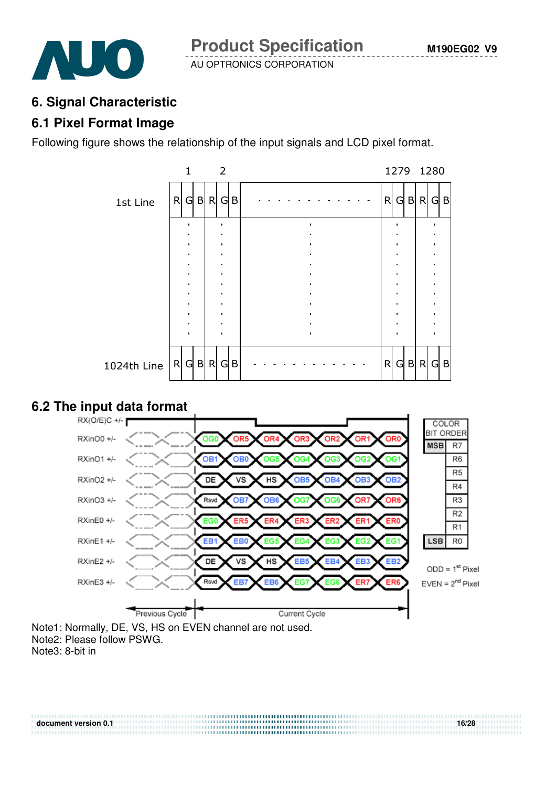

# **6. Signal Characteristic**

#### **6.1 Pixel Format Image**

Following figure shows the relationship of the input signals and LCD pixel format.



# **6.2 The input data format**



Note1: Normally, DE, VS, HS on EVEN channel are not used. Note2: Please follow PSWG.

Note3: 8-bit in

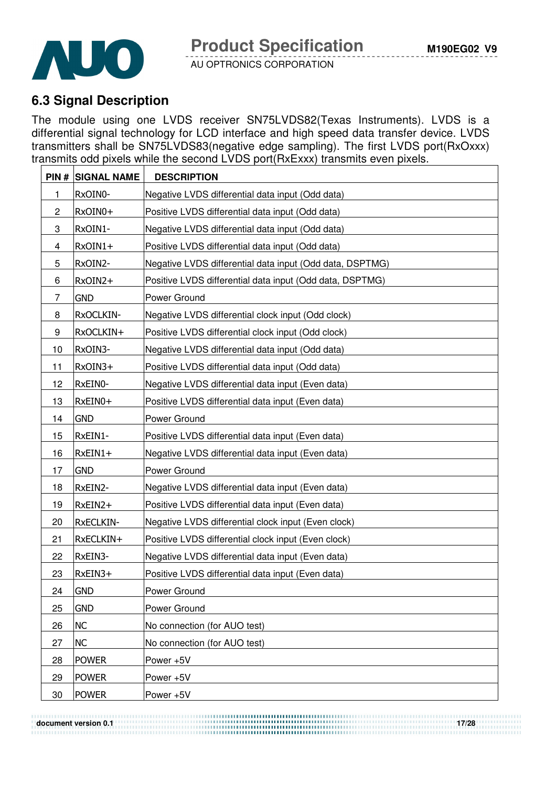

# **6.3 Signal Description**

The module using one LVDS receiver SN75LVDS82(Texas Instruments). LVDS is a differential signal technology for LCD interface and high speed data transfer device. LVDS transmitters shall be SN75LVDS83(negative edge sampling). The first LVDS port(RxOxxx) transmits odd pixels while the second LVDS port(RxExxx) transmits even pixels.

|                | <b>PIN # SIGNAL NAME</b> | <b>DESCRIPTION</b>                                       |
|----------------|--------------------------|----------------------------------------------------------|
| 1              | RxOIN0-                  | Negative LVDS differential data input (Odd data)         |
| $\overline{c}$ | RxOIN0+                  | Positive LVDS differential data input (Odd data)         |
| 3              | RxOIN1-                  | Negative LVDS differential data input (Odd data)         |
| 4              | RxOIN1+                  | Positive LVDS differential data input (Odd data)         |
| 5              | RxOIN2-                  | Negative LVDS differential data input (Odd data, DSPTMG) |
| 6              | RxOIN2+                  | Positive LVDS differential data input (Odd data, DSPTMG) |
| 7              | <b>GND</b>               | Power Ground                                             |
| 8              | RxOCLKIN-                | Negative LVDS differential clock input (Odd clock)       |
| 9              | RxOCLKIN+                | Positive LVDS differential clock input (Odd clock)       |
| 10             | RxOIN3-                  | Negative LVDS differential data input (Odd data)         |
| 11             | RxOIN3+                  | Positive LVDS differential data input (Odd data)         |
| 12             | RxEIN0-                  | Negative LVDS differential data input (Even data)        |
| 13             | RxEIN0+                  | Positive LVDS differential data input (Even data)        |
| 14             | <b>GND</b>               | Power Ground                                             |
| 15             | RxEIN1-                  | Positive LVDS differential data input (Even data)        |
| 16             | $RxEIN1+$                | Negative LVDS differential data input (Even data)        |
| 17             | <b>GND</b>               | Power Ground                                             |
| 18             | RxEIN2-                  | Negative LVDS differential data input (Even data)        |
| 19             | RxEIN2+                  | Positive LVDS differential data input (Even data)        |
| 20             | <b>RxECLKIN-</b>         | Negative LVDS differential clock input (Even clock)      |
| 21             | RxECLKIN+                | Positive LVDS differential clock input (Even clock)      |
| 22             | RxEIN3-                  | Negative LVDS differential data input (Even data)        |
| 23             | RxEIN3+                  | Positive LVDS differential data input (Even data)        |
| 24             | <b>GND</b>               | Power Ground                                             |
| 25             | <b>GND</b>               | Power Ground                                             |
| 26             | NC                       | No connection (for AUO test)                             |
| 27             | <b>NC</b>                | No connection (for AUO test)                             |
| 28             | <b>POWER</b>             | Power +5V                                                |
| 29             | <b>POWER</b>             | Power +5V                                                |
| 30             | <b>POWER</b>             | Power +5V                                                |

**document version 0.1** 17/28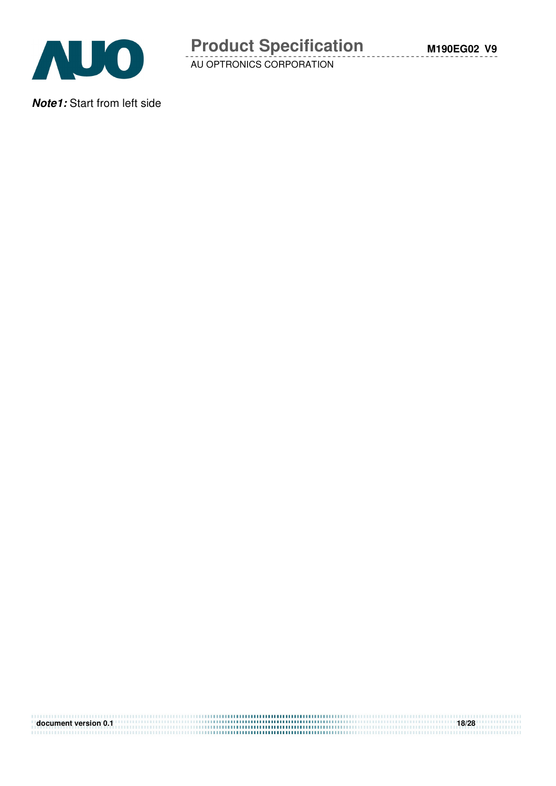

**Note1:** Start from left side

| document version 0.1 | 18/28 |
|----------------------|-------|
|                      |       |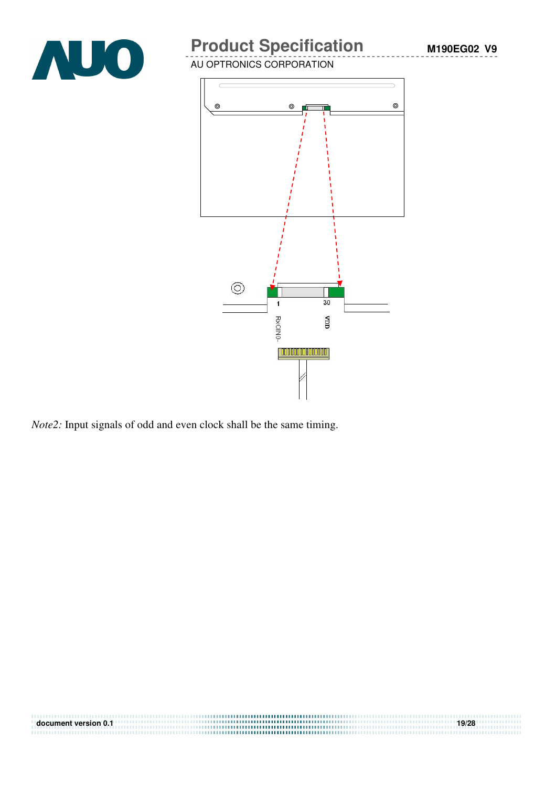

# **Product Specification**

AU OPTRONICS CORPORATION



*Note2:* Input signals of odd and even clock shall be the same timing.

| document version 0.1 | 19/28 |
|----------------------|-------|
|                      |       |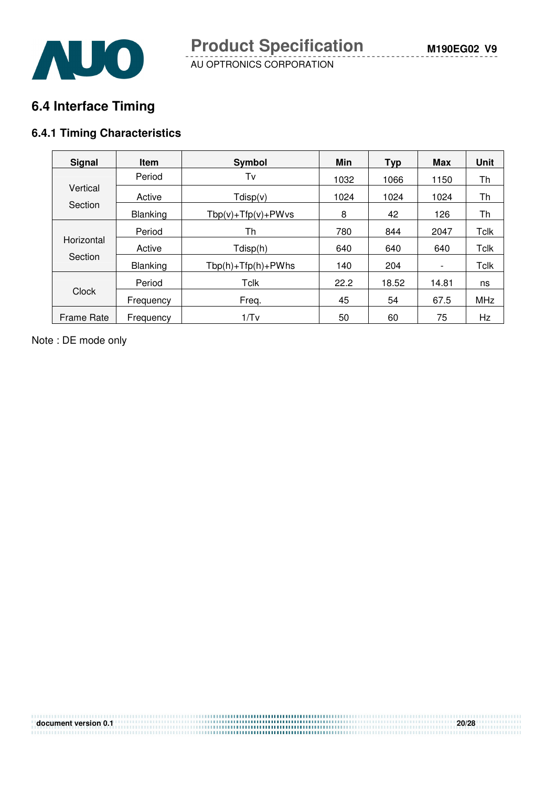**M190EG02 V9**



AU OPTRONICS CORPORATION

# **6.4 Interface Timing**

#### **6.4.1 Timing Characteristics**

| <b>Signal</b>         | <b>Item</b>     | Symbol                   | Min  | <b>Typ</b> | <b>Max</b>               | <b>Unit</b> |
|-----------------------|-----------------|--------------------------|------|------------|--------------------------|-------------|
|                       | Period          | Tv                       | 1032 | 1066       | 1150                     | Th          |
| Vertical              | Active          | Tdisp(v)                 | 1024 | 1024       | 1024                     | Th          |
| Section               | <b>Blanking</b> | $Tbp(v) + Tfp(v) + PWvs$ | 8    | 42         | 126                      | Th          |
| Horizontal<br>Section | Period          | Th                       | 780  | 844        | 2047                     | <b>Tclk</b> |
|                       | Active          | Tdisp(h)                 | 640  | 640        | 640                      | <b>Tclk</b> |
|                       | <b>Blanking</b> | $Tbp(h) + Tfp(h) + PWhs$ | 140  | 204        | $\overline{\phantom{a}}$ | <b>Tclk</b> |
| Clock                 | Period          | Tclk                     | 22.2 | 18.52      | 14.81                    | ns          |
|                       | Frequency       | Freq.                    | 45   | 54         | 67.5                     | MHz         |
| <b>Frame Rate</b>     | Frequency       | 1/Tv                     | 50   | 60         | 75                       | Hz          |

Note : DE mode only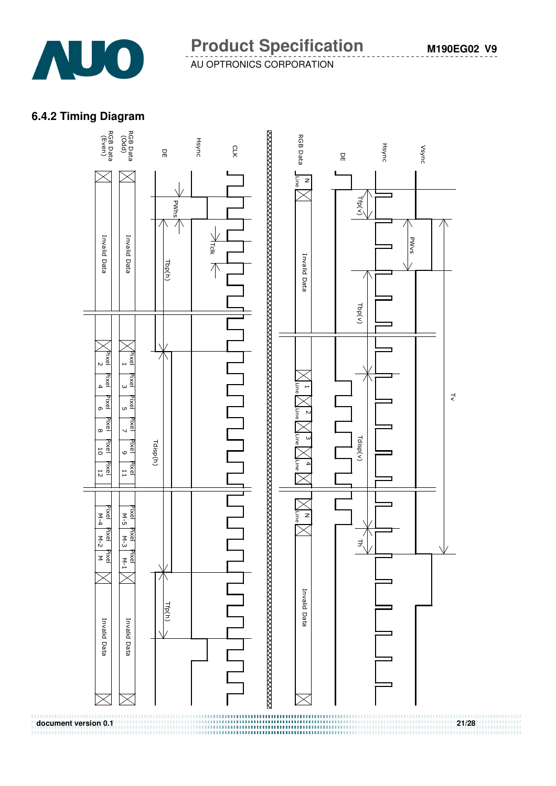

### **6.4.2 Timing Diagram**



. . . . . . . . . . . .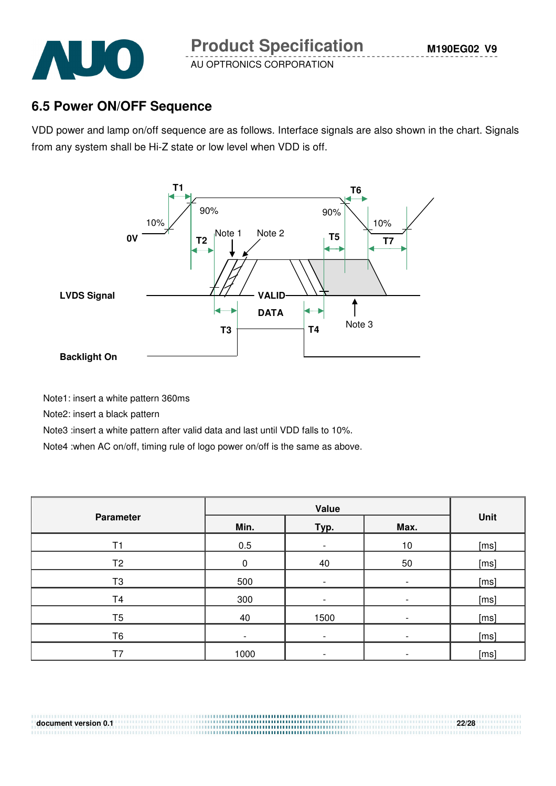

## **6.5 Power ON/OFF Sequence**

VDD power and lamp on/off sequence are as follows. Interface signals are also shown in the chart. Signals from any system shall be Hi-Z state or low level when VDD is off.



Note1: insert a white pattern 360ms

Note2: insert a black pattern

Note3 :insert a white pattern after valid data and last until VDD falls to 10%.

Note4 :when AC on/off, timing rule of logo power on/off is the same as above.

| <b>Parameter</b> | Min.<br>Typ.<br>Max.     |                          |      | Unit |  |
|------------------|--------------------------|--------------------------|------|------|--|
| T1               | 0.5                      | $\overline{\phantom{a}}$ | $10$ | [ms] |  |
| T <sub>2</sub>   | 0                        | 40                       | 50   | [ms] |  |
| T <sub>3</sub>   | 500                      | $\overline{\phantom{a}}$ |      | [ms] |  |
| T <sub>4</sub>   | 300                      | $\overline{\phantom{0}}$ |      | [ms] |  |
| T <sub>5</sub>   | 40                       | 1500                     |      | [ms] |  |
| T6               | $\overline{\phantom{a}}$ | $\overline{\phantom{a}}$ |      | [ms] |  |
| T <sub>7</sub>   | 1000                     |                          |      | [ms] |  |

**document version 0.1 22/28**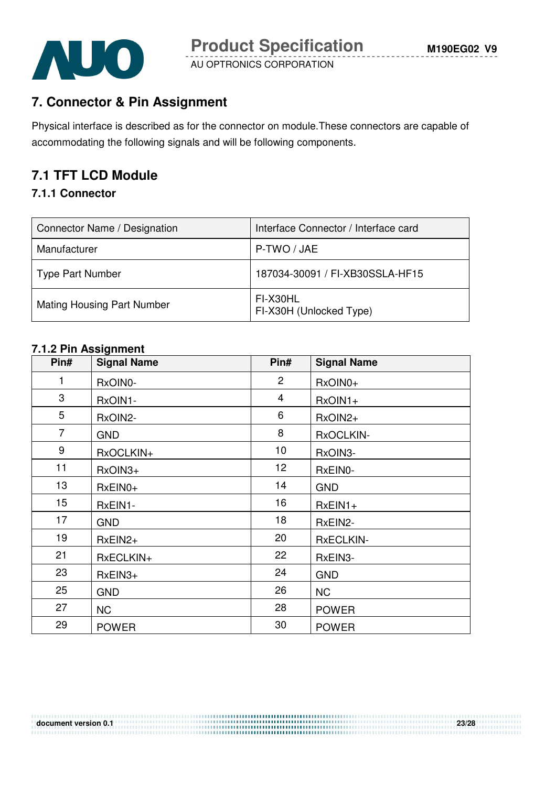

# **7. Connector & Pin Assignment**

Physical interface is described as for the connector on module.These connectors are capable of accommodating the following signals and will be following components.

# **7.1 TFT LCD Module**

#### **7.1.1 Connector**

| Connector Name / Designation      | Interface Connector / Interface card |
|-----------------------------------|--------------------------------------|
| Manufacturer                      | P-TWO / JAE                          |
| <b>Type Part Number</b>           | 187034-30091 / FI-XB30SSLA-HF15      |
| <b>Mating Housing Part Number</b> | FI-X30HL<br>FI-X30H (Unlocked Type)  |

#### **7.1.2 Pin Assignment**

| Pin#             | <b>Signal Name</b> | Pin#            | <b>Signal Name</b> |
|------------------|--------------------|-----------------|--------------------|
| 1                | RxOIN0-            | $\overline{2}$  | RxOIN0+            |
| 3                | RxOIN1-            | $\overline{4}$  | $RxOIN1+$          |
| 5                | RxOIN2-            | 6               | RxOIN2+            |
| $\overline{7}$   | <b>GND</b>         | 8               | RxOCLKIN-          |
| 9                | RxOCLKIN+          | 10              | RxOIN3-            |
| 11               | RxOIN3+            | 12 <sup>2</sup> | RxEIN0-            |
| 13               | RxEIN0+            | 14              | <b>GND</b>         |
| 15 <sub>15</sub> | RxEIN1-            | 16              | $RxEIN1+$          |
| 17               | <b>GND</b>         | 18              | RxEIN2-            |
| 19               | RxEIN2+            | 20              | <b>RxECLKIN-</b>   |
| 21               | RxECLKIN+          | 22              | RxEIN3-            |
| 23               | $RxEIN3+$          | 24              | <b>GND</b>         |
| 25               | <b>GND</b>         | 26              | <b>NC</b>          |
| 27               | <b>NC</b>          | 28              | <b>POWER</b>       |
| 29               | <b>POWER</b>       | 30              | <b>POWER</b>       |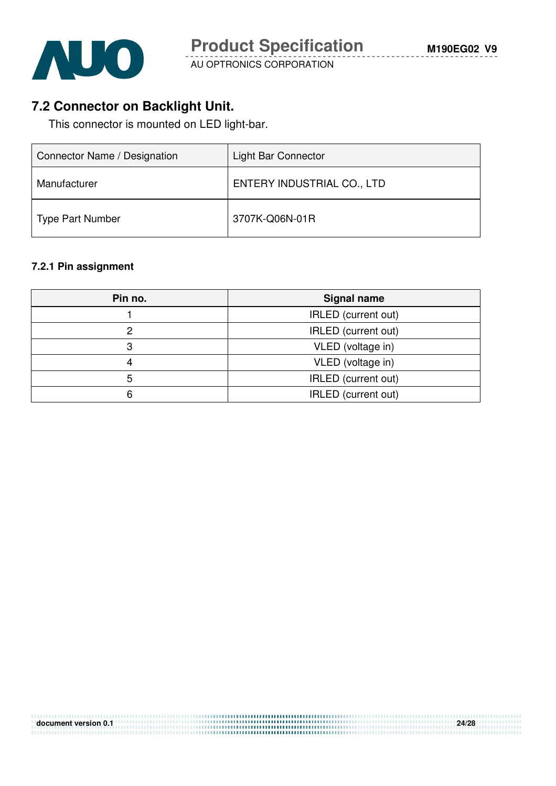

# **7.2 Connector on Backlight Unit.**

This connector is mounted on LED light-bar.

| Connector Name / Designation | Light Bar Connector        |
|------------------------------|----------------------------|
| Manufacturer                 | ENTERY INDUSTRIAL CO., LTD |
| Type Part Number             | 3707K-Q06N-01R             |

#### **7.2.1 Pin assignment**

| Pin no. | <b>Signal name</b>  |
|---------|---------------------|
|         | IRLED (current out) |
|         | IRLED (current out) |
|         | VLED (voltage in)   |
|         | VLED (voltage in)   |
| 5       | IRLED (current out) |
|         | IRLED (current out) |

**document version 0.1** *adduction and a continued with a continued with a continued with the continued with a continued with a continued with a continued with*  $24/28$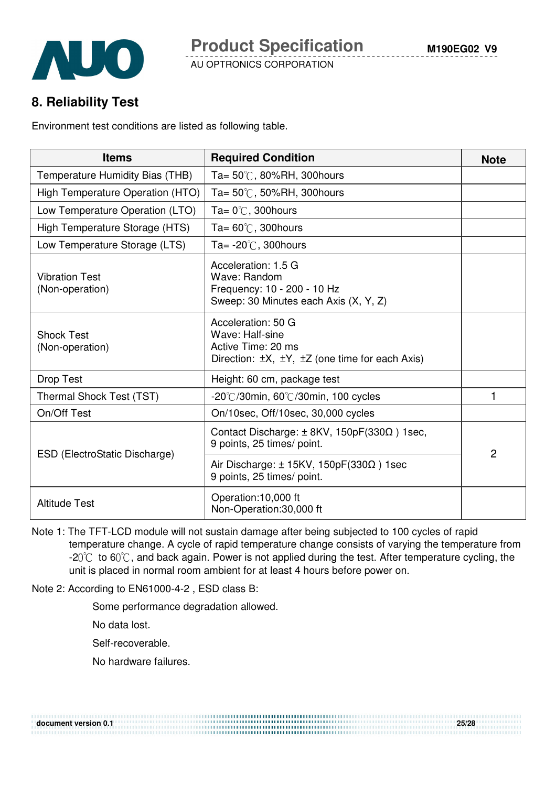# **8. Reliability Test**

Environment test conditions are listed as following table.

| <b>Items</b>                             | <b>Required Condition</b>                                                                                                      | <b>Note</b>    |
|------------------------------------------|--------------------------------------------------------------------------------------------------------------------------------|----------------|
| Temperature Humidity Bias (THB)          | Ta= $50^{\circ}$ C, 80%RH, 300 hours                                                                                           |                |
| High Temperature Operation (HTO)         | Ta= $50^{\circ}$ C, 50%RH, 300 hours                                                                                           |                |
| Low Temperature Operation (LTO)          | Ta= $0^{\circ}$ C, 300 hours                                                                                                   |                |
| High Temperature Storage (HTS)           | Ta= $60^{\circ}$ C, 300 hours                                                                                                  |                |
| Low Temperature Storage (LTS)            | Ta= $-20^{\circ}$ C, 300 hours                                                                                                 |                |
| <b>Vibration Test</b><br>(Non-operation) | Acceleration: 1.5 G<br>Wave: Random<br>Frequency: 10 - 200 - 10 Hz<br>Sweep: 30 Minutes each Axis (X, Y, Z)                    |                |
| <b>Shock Test</b><br>(Non-operation)     | Acceleration: 50 G<br>Wave: Half-sine<br>Active Time: 20 ms<br>Direction: $\pm X$ , $\pm Y$ , $\pm Z$ (one time for each Axis) |                |
| Drop Test                                | Height: 60 cm, package test                                                                                                    |                |
| Thermal Shock Test (TST)                 | $-20^{\circ}$ C/30min, 60 $^{\circ}$ C/30min, 100 cycles                                                                       | 1              |
| On/Off Test                              | On/10sec, Off/10sec, 30,000 cycles                                                                                             |                |
| ESD (ElectroStatic Discharge)            | Contact Discharge: $\pm$ 8KV, 150pF(330 $\Omega$ ) 1sec,<br>9 points, 25 times/ point.                                         | $\overline{2}$ |
|                                          | Air Discharge: $\pm$ 15KV, 150pF(330 $\Omega$ ) 1sec<br>9 points, 25 times/ point.                                             |                |
| <b>Altitude Test</b>                     | Operation:10,000 ft<br>Non-Operation:30,000 ft                                                                                 |                |

Note 1: The TFT-LCD module will not sustain damage after being subjected to 100 cycles of rapid temperature change. A cycle of rapid temperature change consists of varying the temperature from  $-20^{\circ}$  to 60 $^{\circ}$ C, and back again. Power is not applied during the test. After temperature cycling, the unit is placed in normal room ambient for at least 4 hours before power on.

**document version 0.1 25/28** 

Note 2: According to EN61000-4-2 , ESD class B:

Some performance degradation allowed.

No data lost.

Self-recoverable.

No hardware failures.

| document version 0.1 |  |
|----------------------|--|
|                      |  |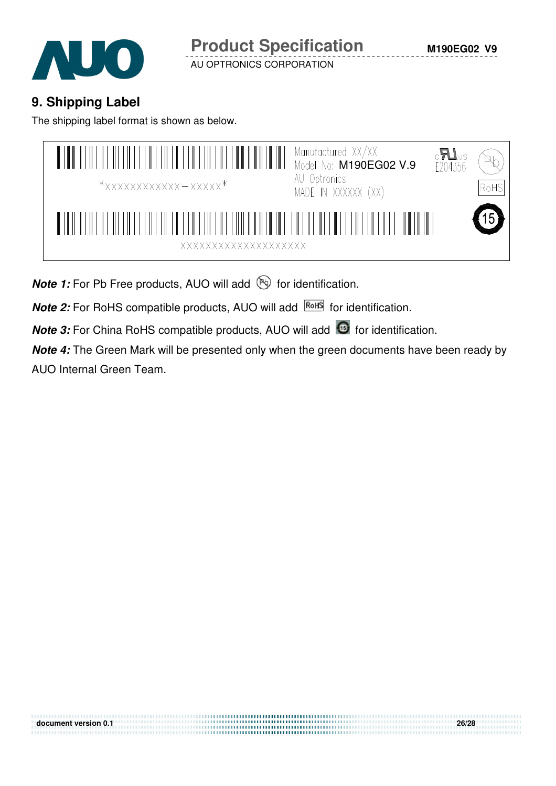

# **9. Shipping Label**

The shipping label format is shown as below.



**Note 1:** For Pb Free products, AUO will add **but for identification**.

**Note 2:** For RoHS compatible products, AUO will add **RoHS** for identification.

**Note 3:** For China RoHS compatible products, AUO will add **6** for identification.

**Note 4:** The Green Mark will be presented only when the green documents have been ready by AUO Internal Green Team.

**document version 0.1 26/28**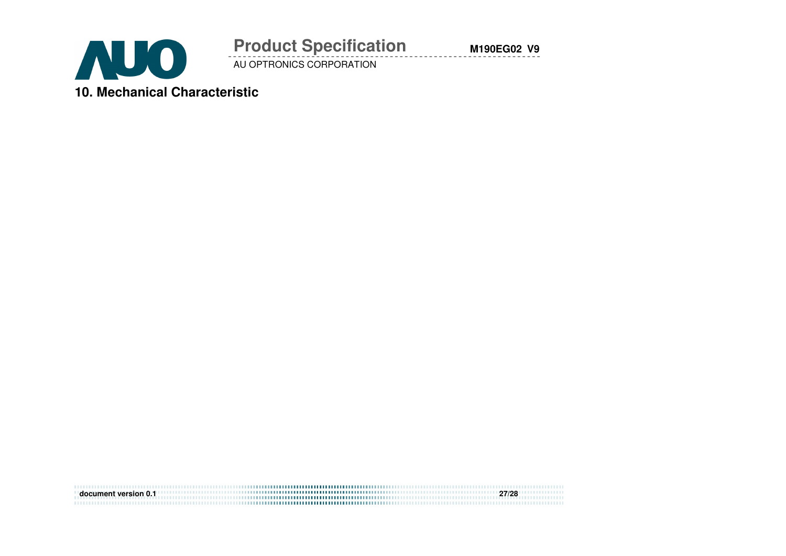

# **Product Specification**

AU OPTRONICS CORPORATION

**document version 0.1 27/28** 

**M190EG02 V9**